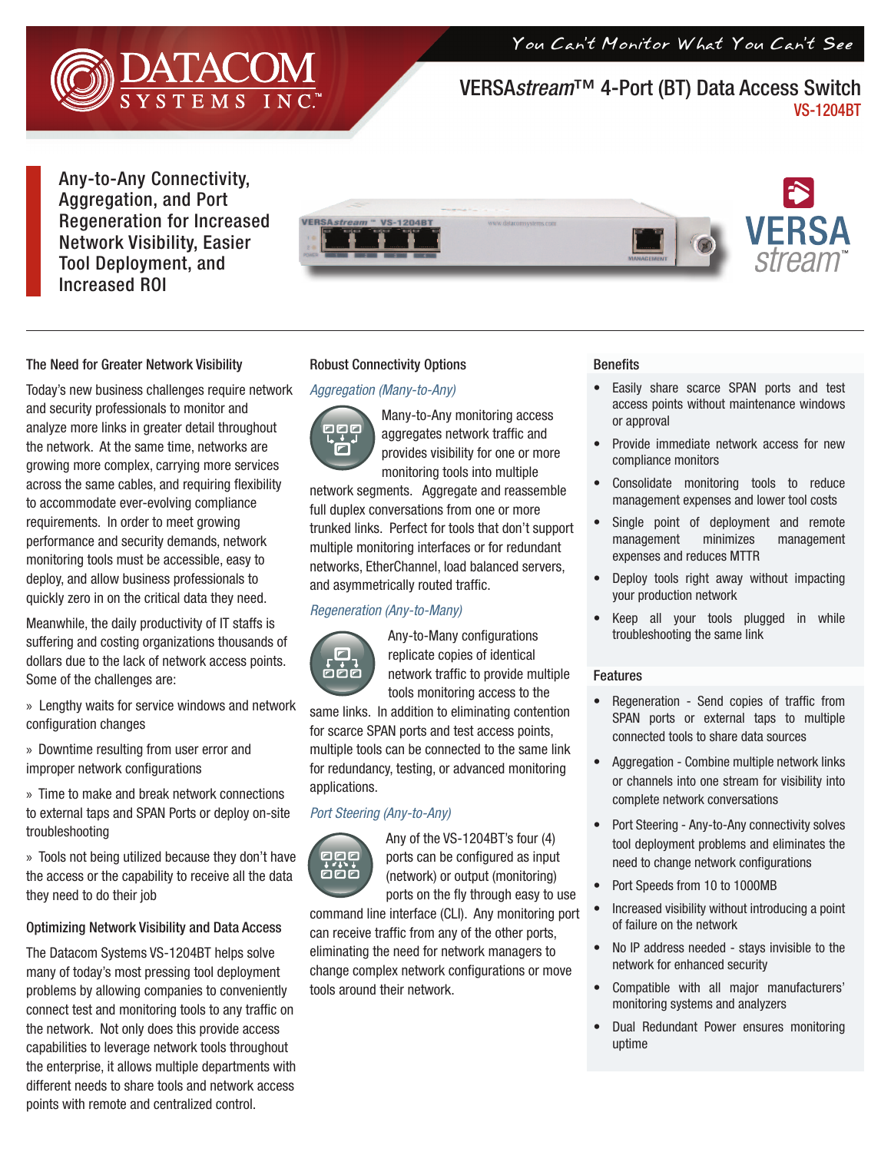You Can't Monitor What You Can't See



# VERSA*stream*™ 4-Port (BT) Data Access Switch VS-1204BT

Any-to-Any Connectivity, Aggregation, and Port Regeneration for Increased Network Visibility, Easier Tool Deployment, and Increased ROI



## The Need for Greater Network Visibility

Today's new business challenges require network and security professionals to monitor and analyze more links in greater detail throughout the network. At the same time, networks are growing more complex, carrying more services across the same cables, and requiring flexibility to accommodate ever-evolving compliance requirements. In order to meet growing performance and security demands, network monitoring tools must be accessible, easy to deploy, and allow business professionals to quickly zero in on the critical data they need.

Meanwhile, the daily productivity of IT staffs is suffering and costing organizations thousands of dollars due to the lack of network access points. Some of the challenges are:

- » Lengthy waits for service windows and network configuration changes
- » Downtime resulting from user error and improper network configurations

» Time to make and break network connections to external taps and SPAN Ports or deploy on-site troubleshooting

» Tools not being utilized because they don't have the access or the capability to receive all the data they need to do their job

### Optimizing Network Visibility and Data Access

The Datacom Systems VS-1204BT helps solve many of today's most pressing tool deployment problems by allowing companies to conveniently connect test and monitoring tools to any traffic on the network. Not only does this provide access capabilities to leverage network tools throughout the enterprise, it allows multiple departments with different needs to share tools and network access points with remote and centralized control.

### Robust Connectivity Options

### *Aggregation (Many-to-Any)*



Many-to-Any monitoring access aggregates network traffic and provides visibility for one or more monitoring tools into multiple

network segments. Aggregate and reassemble full duplex conversations from one or more trunked links. Perfect for tools that don't support multiple monitoring interfaces or for redundant networks, EtherChannel, load balanced servers, and asymmetrically routed traffic.

### *Regeneration (Any-to-Many)*



Any-to-Many configurations replicate copies of identical network traffic to provide multiple tools monitoring access to the

same links. In addition to eliminating contention for scarce SPAN ports and test access points, multiple tools can be connected to the same link for redundancy, testing, or advanced monitoring applications.

## *Port Steering (Any-to-Any)*



Any of the VS-1204BT's four (4) ports can be configured as input (network) or output (monitoring) ports on the fly through easy to use

command line interface (CLI). Any monitoring port can receive traffic from any of the other ports, eliminating the need for network managers to change complex network configurations or move tools around their network.

### **Benefits**

- Easily share scarce SPAN ports and test access points without maintenance windows or approval
- Provide immediate network access for new compliance monitors
- Consolidate monitoring tools to reduce management expenses and lower tool costs
- Single point of deployment and remote management minimizes management expenses and reduces MTTR
- Deploy tools right away without impacting your production network
- Keep all your tools plugged in while troubleshooting the same link

#### Features

- Regeneration Send copies of traffic from SPAN ports or external taps to multiple connected tools to share data sources
- Aggregation Combine multiple network links or channels into one stream for visibility into complete network conversations
- Port Steering Any-to-Any connectivity solves tool deployment problems and eliminates the need to change network configurations
- Port Speeds from 10 to 1000MB
- Increased visibility without introducing a point of failure on the network
- No IP address needed stays invisible to the network for enhanced security
- Compatible with all major manufacturers' monitoring systems and analyzers
- Dual Redundant Power ensures monitoring uptime